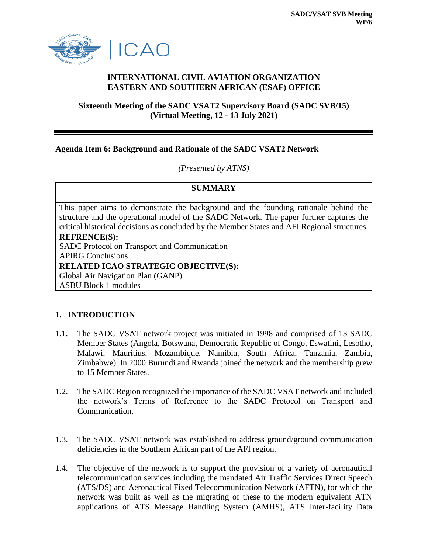

# **INTERNATIONAL CIVIL AVIATION ORGANIZATION EASTERN AND SOUTHERN AFRICAN (ESAF) OFFICE**

#### **Sixteenth Meeting of the SADC VSAT2 Supervisory Board (SADC SVB/15) (Virtual Meeting, 12 - 13 July 2021)**

### **Agenda Item 6: Background and Rationale of the SADC VSAT2 Network**

*(Presented by ATNS)*

### **SUMMARY**

This paper aims to demonstrate the background and the founding rationale behind the structure and the operational model of the SADC Network. The paper further captures the critical historical decisions as concluded by the Member States and AFI Regional structures.

#### **REFRENCE(S):**

SADC Protocol on Transport and Communication

APIRG Conclusions

### **RELATED ICAO STRATEGIC OBJECTIVE(S):**

Global Air Navigation Plan (GANP)

ASBU Block 1 modules

# **1. INTRODUCTION**

- 1.1. The SADC VSAT network project was initiated in 1998 and comprised of 13 SADC Member States (Angola, Botswana, Democratic Republic of Congo, Eswatini, Lesotho, Malawi, Mauritius, Mozambique, Namibia, South Africa, Tanzania, Zambia, Zimbabwe). In 2000 Burundi and Rwanda joined the network and the membership grew to 15 Member States.
- 1.2. The SADC Region recognized the importance of the SADC VSAT network and included the network's Terms of Reference to the SADC Protocol on Transport and Communication.
- 1.3. The SADC VSAT network was established to address ground/ground communication deficiencies in the Southern African part of the AFI region.
- 1.4. The objective of the network is to support the provision of a variety of aeronautical telecommunication services including the mandated Air Traffic Services Direct Speech (ATS/DS) and Aeronautical Fixed Telecommunication Network (AFTN), for which the network was built as well as the migrating of these to the modern equivalent ATN applications of ATS Message Handling System (AMHS), ATS Inter-facility Data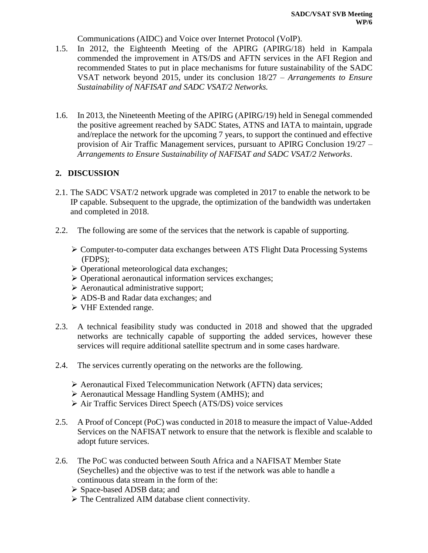Communications (AIDC) and Voice over Internet Protocol (VoIP).

- 1.5. In 2012, the Eighteenth Meeting of the APIRG (APIRG/18) held in Kampala commended the improvement in ATS/DS and AFTN services in the AFI Region and recommended States to put in place mechanisms for future sustainability of the SADC VSAT network beyond 2015, under its conclusion 18/27 – *Arrangements to Ensure Sustainability of NAFISAT and SADC VSAT/2 Networks.*
- 1.6. In 2013, the Nineteenth Meeting of the APIRG (APIRG/19) held in Senegal commended the positive agreement reached by SADC States, ATNS and IATA to maintain, upgrade and/replace the network for the upcoming 7 years, to support the continued and effective provision of Air Traffic Management services, pursuant to APIRG Conclusion 19/27 – *Arrangements to Ensure Sustainability of NAFISAT and SADC VSAT/2 Networks*.

# **2. DISCUSSION**

- 2.1. The SADC VSAT/2 network upgrade was completed in 2017 to enable the network to be IP capable. Subsequent to the upgrade, the optimization of the bandwidth was undertaken and completed in 2018.
- 2.2. The following are some of the services that the network is capable of supporting.
	- Computer-to-computer data exchanges between ATS Flight Data Processing Systems (FDPS);
	- $\triangleright$  Operational meteorological data exchanges;
	- $\triangleright$  Operational aeronautical information services exchanges;
	- $\triangleright$  Aeronautical administrative support;
	- ADS-B and Radar data exchanges; and
	- VHF Extended range.
- 2.3. A technical feasibility study was conducted in 2018 and showed that the upgraded networks are technically capable of supporting the added services, however these services will require additional satellite spectrum and in some cases hardware.
- 2.4. The services currently operating on the networks are the following.
	- Aeronautical Fixed Telecommunication Network (AFTN) data services;
	- Aeronautical Message Handling System (AMHS); and
	- Air Traffic Services Direct Speech (ATS/DS) voice services
- 2.5. A Proof of Concept (PoC) was conducted in 2018 to measure the impact of Value-Added Services on the NAFISAT network to ensure that the network is flexible and scalable to adopt future services.
- 2.6. The PoC was conducted between South Africa and a NAFISAT Member State (Seychelles) and the objective was to test if the network was able to handle a continuous data stream in the form of the:
	- Space-based ADSB data; and
	- The Centralized AIM database client connectivity.